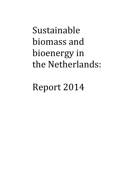# Sustainable biomass and bioenergy in the Netherlands:

Report 2014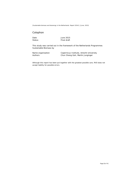# <span id="page-1-0"></span>Colophon

Date June 2015<br>Status Final draft Final draft

This study was carried out in the framework of the Netherlands Programmes Sustainable Biomass by

| Name organisation | Copernicus Institute, Utrecht University |
|-------------------|------------------------------------------|
| Authors           | Chun Sheng Goh, Martin Junginger         |

*Although this report has been put together with the greatest possible care, RVO does not accept liability for possible errors.*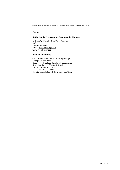## **Contact**

## **Netherlands Programmes Sustainable Biomass**

Ir. Kees W. Kwant / Drs. Timo Gerlagh RVO The Netherlands Email: [kees.kwant@rvo.nl](mailto:kees.kwant@rvo.nl) [www.rvo.nl/biomass](http://www.rvo.nl/biomass)

## **Utrecht University**

Chun Sheng Goh and Dr. Martin Junginger Energy & Resources, Copernicus Institute, Faculty of Geoscience Heidelberglaan 2, 3584 CS Utrecht Tel: +31 - 30 - 2537613 Fax: +31 - 30 - 2537601 E-mail: [c.s.goh@uu.nl;](mailto:c.s.goh@uu.nl) [h.m.junginger@uu.nl](mailto:h.m.junginger@uu.nl)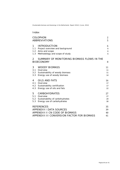## Index

| <b>COLOPHON</b><br><b>ABBREVIATIONS</b>                                                                                              | $\mathbf{2}$<br>5    |
|--------------------------------------------------------------------------------------------------------------------------------------|----------------------|
| <b>INTRODUCTION</b><br>1<br>1.1<br>Project overview and background<br>Aims and scope<br>1.2<br>1.3<br>Methodology and scope of study | 6<br>6<br>6<br>6     |
| SUMMARY OF MONITORING BIOMASS FLOWS IN THE<br>$\mathcal{P}$<br><b>BIOECONOMY</b>                                                     | 8                    |
| 3<br><b>WOODY BIOMASS</b><br>Overview<br>3.1<br>3.2 Sustainability of woody biomass<br>Energy use of woody biomass<br>3.3            | 11<br>11<br>11<br>14 |
| <b>OILS AND FATS</b><br>4<br>4.1<br>Overview<br>4.2 Sustainability certification<br>Energy use of oils and fats<br>4.3               | 16<br>17<br>17<br>22 |
| <b>CARBOHYDRATES</b><br>5<br>5.1 Overview<br>5.2<br>Sustainability of carbohydrates<br>5.3<br>Energy use of carbohydrates            | 27<br>27<br>29<br>30 |
| <b>REFERENCES</b><br><b>APPENDIX I DATA SOURCES</b><br>APPENDIX II CN CODE OF BIOMASS<br>APPENDIX III CONVERSION FACTOR FOR BIOMASS  | 35<br>39<br>40<br>41 |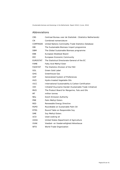# <span id="page-4-0"></span>Abbreviations

| CBS             | Centraal Bureau voor de Statistiek (Statistics Netherlands) |
|-----------------|-------------------------------------------------------------|
| СN              | Combined nomenclature                                       |
| <b>COMTRADE</b> | United Nations Commodity Trade Statistics Database          |
| DBI             | The Sustainable Biomass Import programme                    |
| DBM             | The Global Sustainable Biomass programme                    |
| <b>EBB</b>      | European Biodiesel Board                                    |
| EEC             | European Economic Community                                 |
| <b>EUROSTAT</b> | The Statistical Directorate-General of the EC               |
| <b>FAME</b>     | <b>Fatty Acid Methyl Ester</b>                              |
| <b>FAOSTAT</b>  | The Statistics Division of the FAO                          |
| GGL             | Green Gold Label                                            |
| GHG             | Greenhouse Gas                                              |
| <b>GSP</b>      | Generalized System of Preferences                           |
| HVO             | Hydro-treated Vegetable Oils                                |
| <b>ISCC</b>     | International Sustainability & Carbon Certification         |
| IDH             | Initiatief Duurzame Handel (Sustainable Trade Initiative)   |
| <b>MVO</b>      | The Product Board for Margarine, Fats and Oils              |
| МT              | million tonnes                                              |
| NEa             | Dutch Emission Authority                                    |
| <b>PME</b>      | Palm Methyl Esters                                          |
| RED             | Renewable Energy Directive                                  |
| <b>RSPO</b>     | Roundtable on Sustainable Palm Oil                          |
| RTRS            | Round Table on Responsible Soy                              |
| SME             | Soy Methyl Esters                                           |
| <b>UCO</b>      | Used cooking oil                                            |
| <b>USDA</b>     | United States Department of Agriculture                     |
| <b>VVAK</b>     | Voedsel- en Voederveiligheid Akkerbouw                      |
| <b>WTO</b>      | World Trade Organization                                    |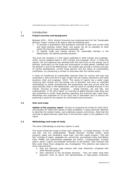## 1 Introduction

## **1.1 Project overview and background**

<span id="page-5-1"></span><span id="page-5-0"></span>Between 2010 – 2014, Utrecht University has conducted work for the "Sustainable Biomass Import" project of NL Agency with the following aims:

- 1. To provide a quantitative and qualitative overview of past and current solid and liquid biomass import flows, and assess (as far as possible) to what extent this biomass was produced sustainably; and
- 2. To identify trade and market barriers for sustainable biomass in the Netherlands, and identify possible solutions.

This work has resulted in a first report published in 2010 (Jonker and Junginger, 2010), and an updated report in 2011 (Jonker and Junginger, 2011). In these two reports, the first objective was achieved with the main focus on the energy use of biomass, particularly on the trade and consumption of wood pellets, biodiesel and bio-ethanol in and to the Netherlands. The studies also provide a concise overview of market development, current trade barriers and the status of sustainability certification, by conducting a number of interviews with the market actors.

A study on monitoring of (sustainable) biomass flows for various end-uses was conducted in 2012 and 2013 to gain insight into the market mechanism and trade dynamics (Goh and Junginger, 2013). This series of reports has a wider scope (covering both energy and non-energy use of biomass) and uses an extended methodology to assess quantitatively and qualitatively past and current solid and liquid biomass flows in the Netherlands, and the share of certified biomass in the market, focusing on three categories – woody biomass, oils and fats, and carbohydrates. In the 2013 report, an overview of global biomass trade flows was also presented to screen large biomass importers and examine their trade flows. Workshops was organised on 25 Oct 2012 and 22 December 2013 to discuss the preliminary results to the experts for confirmation and comments.

## **1.2 Aims and scope**

<span id="page-5-2"></span>**Update of the previous report**: Focuses on analyzing the trends for 2010-2013, and possibly for 2008-2013 based on data availability. It pays particular attention to describe the market trends, and underlying reasons and drivers. Note that the overview of global biomass trade flows in the previous report is not updated in this report.

## **1.3 Methodology and scope of study**

<span id="page-5-3"></span>The same methodology as previous reports is used.

This study limited the scope to three main categories,: (i) woody biomass; (ii) oils and fats; and (iii) carbohydrates. "Woody biomass" includes timber, wood products, paper and cardboard, wood fuels, and their waste streams. "Oils and fats" includes oil seeds, vegetable oils, animal fats, and biofuels (Fatty Acid Methyl Ester (FAME) and hydrotreated vegetable oils (HVO)). "Carbohydrates" includes grains, starch, sugars and possible connection to bio-ethanol. Only biomass that falls under these three categories was investigated. This selection was based on three characteristics:

- a. they are relatively large streams with clear distinction compared with other biomass groups;
- b. their relevance to the bio-based economy they are either long-chain polymers (such as starch and lignocellulose) or high-quality monomers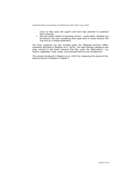(such as fatty acids and sugars) and have high potential to substitute fossil materials;

c. they are closely related to bioenergy carriers – wood pellets, biodiesel and bio-ethanol (and also considering their large share in waste streams that may end up in energy production).

The three categories are also included within the "Biobased economy (BBE)" framework described in Meesters et al. (2013). The other biomass categories with large volumes in the Dutch economy that falls under the "Bioeconomy", e.g. flowers, vegetables, fruits, meats, and processed food are not included here.

The concept introduced in Meesters et al. (2013) for measuring the volume of biobased economy is followed in Chapter 2.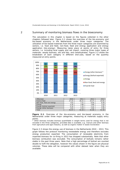## 2 Summary of monitoring biomass flows in the bioeconomy

<span id="page-7-0"></span>The calculation in this chapter is based on the figures collected in the other chapters followed later. Figure 2-1 shows the overview of the bio-economy and bio-based economy in the Netherlands under three major categories. The utilization of bio-based materials from the three major categories are examined by sectors, i.e. food and feed, non-food, feed and energy application and energy application (bio-energy). Measuring takes place at points of entry for three sectors, i.e. including local supply and net import, covering three major types of materials: woody biomass, oils and fats, and carbohydrates. Figure 2-2 shows the breakdown of each category in different end-uses, based on the quantity measured at entry points.



**Figure 2-1**. Overview of the bio-economy and bio-based economy in the Netherlands under three major categories, measuring at materials supply entry points.

Energy (other biomass) 3.65 3.59 3.99 3.99 Total 42.97 42.20 42.08 41.56

Other biomass includes biomass quantifiable in weight terms used for energy that is not included in the three categories, provided data is available, e.g. manure and other biomass from agriculture and agro-industry, as well as organic matter in waste incineration

Figure 2-3 shows the energy use of biomass in the Netherlands 2010 – 2013. This graph follows the protocol monitoring renewabele energy and therefore excludes energy production exported. The consumption of renewable electricity from imported biomass for co-firing in 2013 has dropped substantially. Note that other biomass combustion was excluded. The consumption of biofuels remains rather stable in the past three years. Note that a high percentage of biofuel are counted double to fulfil the obligation, however the values shown in the figure are physical volumes. These data will be compared with other dataset later when they are available.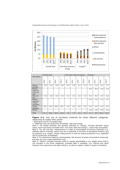

|                                                    | Food & Feed |      |               | Non-food, feed and energy |      |                              | Energy <sup>**</sup> |                                          |      |                       |               |                             |
|----------------------------------------------------|-------------|------|---------------|---------------------------|------|------------------------------|----------------------|------------------------------------------|------|-----------------------|---------------|-----------------------------|
| (Dry Mton)                                         | 2010        | 2011 | $\sim$<br>201 | $\ast$<br>$\infty$<br>201 | 2010 | $\overline{ }$<br><b>201</b> | $\sim$<br>201        | $\stackrel{*}{\scriptstyle \sim}$<br>201 | 2010 | $\overline{ }$<br>201 | $\sim$<br>201 | $^*_{\infty}$<br><b>201</b> |
| Woody<br>biomass                                   | 0.0         | 0.0  | 0.0           | 0.0                       | 6.2  | 5.9                          | 5.2                  | 5.1                                      | 3.7  | 3.3                   | 3.3           | 3.1                         |
| <b>Biofuel</b><br>exported<br>(Oils and<br>fats)   |             |      |               |                           |      |                              |                      |                                          | 0.2  | 0.4                   | 1.0           | 1.0                         |
| Oils and<br>fats                                   | 4.6         | 4.8  | 4.5           | 4.5                       | 1.4  | 1.3                          | 1.4                  | 1.4                                      | 0.1  | 0.2                   | 0.2           | 0.2                         |
| <b>Biofuel</b><br>exported<br>(Carbo-<br>hydrates) |             |      |               |                           |      |                              |                      |                                          | 0.0  | 1.0                   | 1.3           | 1.8                         |
| Carbo-<br>hydrates                                 | 22.6        | 21.4 | 20.9          | 20.2                      | 0.0  | 0.0                          | 0.0                  | 0.0                                      | 0.5  | 0.4                   | 0.4           | 0.2                         |
| <b>Others</b>                                      |             |      |               |                           |      |                              |                      |                                          | 3.6  | 3.6                   | 4.0           | 4.0                         |
| Total                                              | 27.2        | 26.2 | 25.4          | 24.6                      | 7.6  | 7.2                          | 6.6                  | 6.5                                      | 8.1  | 8.8                   | 10.2          | 10.4                        |

**Figure 2-2.** End use of bio-based materials for three different categories, measuring at supply entry points

\* Estimation due to incomplete data

\*\* Materials entry for production of biofuels, heat and energy

Note 1: For woody biomass, the quantity allocated to "energy" includes domestic waste wood, round fuel wood (excluded from "non-food, feed and energy"), wood chips and pellets. Note 2: For oils and fats, measurement is made at consumption of primary materials (e.g. oilseeds before crushing), which may be re-exported in the form of processed products and by-products (e.g. meals). Similar measurement is used for biofuel production (e.g. vegetable oils for production of biodiesel).

Note 3: For bioethanol made by carbohydrates, the amount of grains consumed is measured, but they are very rough estimations only.

Note 4: "Others" includes biomass used for energy quantifiable in dry weight terms that is not included in the three categories, provided data is available, e.g. manure and other biomass from agriculture and agro-industry, as well as organic matter in waste incineration.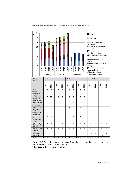

**Figure 2-3** Gross final energy produced from biobased materials and consumed in the Netherlands 2010 – 2013 (CBS 2014)

Procession - - - - - - - - - 5.6 6.2 5.2 5.2<br>Biodiesel - - - - - - - - - 4.0 7.2 8.1 7.7 Biodiesel | - | - | - | - | - | - | - | 4.0 | 7.2 | 8.1 | 7.7 Total 25.4 25.5 26.1 21.6 29.2 30.5 32.3 34.6 9.6 13.4 13.4 12.9

1.7 | 1.8 | 1.8 | 1.8 | 2.9 | 3.0 | 3.3 | 3.6 | 0.0 | 0.0 | 0.0 | 0.0

\* For 2013 only preliminary figures.

Biogas, other than codigestion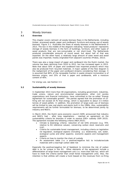## 3 Woody biomass

## **3.1 Overview**

<span id="page-10-1"></span><span id="page-10-0"></span>This chapter covers (almost) all woody biomass flows in the Netherlands, including timber, processed woods, paper and cardboard, furniture and energy use of woody biomass. Figure 3-1 illustrates the flows of woody biomass in the Netherlands in 2013. The box in the middle of the diagram indicating "wood products" represents storage of woody biomass in the form of buildings, furniture, and other types of wood products that are non-consumable or not short-lived. The Netherlands produced considerable amounts of round wood, but about half of that was exported. On the other hand, a relatively large amount of sawn wood and wood panels was imported, mostly originated from adjacent countries (Probos, 2013).

There was also a large import of paper and cardboard into the Dutch market, the volume has been declining from 2010 to 2012, but has increased again in 2013. Note that about 50% of paper and cardboard was imported products which may also be produced from recycled materials. A major update of the flow diagram is the realignment of the paper and cardboard streams considering their storage. It is assumed that 80% of the renewable fraction in waste streams incineration is of biomass origins, and 25% of that is paper and cardboards, with a moisture content of 40%.

<span id="page-10-2"></span>For energy use, see Section 3.3.

## **3.2 Sustainability of woody biomass**

In September 2013 more than 40 organizations, including government, industries, trade unions, nature and environmental organizations, other civil society organizations and financial institutions, have committed to the so-called "Energy Agreement for sustainable growth". The parties agreed that the promotion of cofiring will not exceed 25 PJ final energy, which is equivalent to about 3.5 million tonnes of wood pellets. In addition, the promotion of large-scale use of biomass will be limited to new coal plants and plants built in the 1990s. Also, sustainability requirements will be further formulated for biomass, to be determined jointly by industry and NGO's.

In March 2015, the Dutch socio-economic council (SER) announced that industry and NGO's had – after long negotiations - reached an agreement on the sustainability criteria for biomass in order to receive SDE+ subsidy (SER 2015). The agreement includes the following criteria (NEA 2015):

- Climate & bioenergy criteria: reduction of net GHG emission (e.g. 70% relative to EU reference values), conserving carbon stock reservoirs and ILUC.
- Criteria for sustainable forest management, including criteria on legislation nd regulation, ecological aspects (including a.o. biodiversity, soil, water, ecological cycles and other aspects), economic aspects and management aspects
- Criteria on how to monitor the chain of custody
- An assessment table (i.e. a positive/negative list) to include/exclude materials with a low/high carbon debt risk

Especially the positive/negative list of feedstock to minimize the risk of carbon debt is so far unique in the EU. Other elements of the agreement include a differentiation of large forest management unit (i.e. more than 500 ha), which will have to meet the criteria earlier than small forest management units. Also, the intention is that utilities will create a fund (based on the revenues from co-firing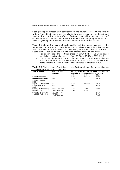wood pellets) to increase SFM certification in the sourcing areas. At the time of writing (June 2015) there was no clarity how compliance will be tested and monitored, e.g. which existing SFM certification system will be approved as proof of meeting (which part of) the criteria. Currently, a working group of experts has been assigned by the Ministry of Economic Affairs to work further on this.

Table 3-1 shows the share of sustainability certified woody biomass in the Netherlands in 2011. In 2012 only data for wood pellets is available. It is expected that the share of certified wood products will grow further steadily. The use of woody biomass can be divided into two main markets based on end-uses:

- Non-energy use: The certified share of sawn timber and wood based panels has significantly increased from 65.7% to 73.1% in 2011-2013.
- Energy use: As reported by RVO (2014), about 72% of woody biomass used for energy purpose is certified in 2013, while the rest comes from waste streams. Green Gold Label has dominated the market in 2013.

**Table 3-1** Market share of sustainability certification schemes for woody biomass in the Netherlands in 2011 and 2013

| <b>Type of biomass</b> | Sustainability<br>schemes |       | Market share (% of certified biomass<br>per<br>particular products group in the market) |       |  |
|------------------------|---------------------------|-------|-----------------------------------------------------------------------------------------|-------|--|
|                        |                           | 2011  | 2012                                                                                    | 2013  |  |
| Sawn timber and        | <b>FSC</b>                | 23.7% | Unknown                                                                                 | 40.0% |  |
| wood based panels      | PEFC                      | 42.0% |                                                                                         | 33.1% |  |
| (Oldenburger et al.,   |                           |       |                                                                                         |       |  |
| 2013)                  |                           |       |                                                                                         |       |  |
| Paper and cardboard    | <i>FSC</i>                | 23.9% | Unknown                                                                                 | 37.7% |  |
| (Olderburger et al.,   | PEFC                      | 8.9%  |                                                                                         | 9.4%  |  |
| 2013)                  |                           |       |                                                                                         |       |  |
| Wood pellets used by   | Green Gold Label          | 51.8% | 50.1%                                                                                   | 69.0% |  |
| utilities (Self        | Laborelec Label           | 33.5% | 27.2%                                                                                   |       |  |
| collection; Agentschap | <b>FSC/PEFC/EUTR</b>      |       | $\overline{\phantom{0}}$                                                                | 2.8%  |  |
| NL, 2013; RVO 2014)    | <b>NTA8080</b>            |       |                                                                                         | 0.1%  |  |
|                        | Waste streams             |       |                                                                                         | 28.0% |  |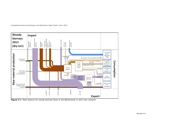

[Sustainable biomass and bioenergy in the Netherlands: Report 2014] | [June, 2015]

**Figure 3-1** Mass balance for woody biomass flows in the Netherlands in 2013 (dry content)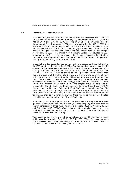#### **3.3 Energy use of woody biomass**

<span id="page-13-0"></span>As shown in Figure 3-2, the import of wood pellets has decreased significantly in 2013, amounted to about 0.66 MT (0.59 dry MT) compared with 1.59 MT (1.44 dry MT) in 2010 and 1.05 MT (0.95 dry MT) in 2012. It is estimated that the throughput at Port of Rotterdam is 600 ktons of wood pellets in 2013 (in 2012 this was around 900 ktons) (Du Mez, 2014). Canada was the largest supplier in 2010, but was overtaken by US in 2011, and the gap become even larger in 2012. However the gap was narrowed down when the import from US has dropped substantially in 2013. The import from Southern Europe has doubled in 2011 compared to 2010, but dropped again in 2012, and remained rather stable in 2013. Gross consumption of biomass by the utilities for co-firing has dropped from 12.9 TJ in 2010 to 6.8 TJ in 2013 (CBS, 2014).

In general, the decreased demand for wood pellets is caused by the end of most of the MEP grants in the period 2012-2014. Another possible reason could be the explosion at the Gelderland coal plant of GdF Suez in Nijmegen in November 2012, causing the plant to close until March 2013 (on an annual basis the plant consumes 470 ktons of wood pellets for co-firing) (Du Mez, 2014). Besides that, due to the closure of the Tilbury plant in the UK, there were large stocks of wood pellets in several ports in the UK and the ARA range that has caused an impact on import trade flows. For example, at least one cargo of wood pellets has been transported to Denmark (for DONG energy) from ZHD in Dordrecht (Du Mez, 2014). Nevertheless, wood pellet is still the largest group of solid biofuels consumed by the utilities in the Netherlands, i.e. the Amer 8 and 9 plants of RWE Essent in Geertruidenberg, Gelderland 13 of GDF, and Maasvlakte of Eon. The Amer plant is supplied by barge from ZHD in Dordrecht up to about 400 ktons in 2013 (however this number may include some premium pellets delivered by ZHD for the heat market in Germany). In 2015, there was no co-firing of wood pellets in the Netherlands due to the end of the MEP subsidy.

In addition to co-firing in power plants, the waste wood, mainly treated B-wood (painted, chipboard and etc.) and C-wood (including sleepers) were consumed for energy generation in three main Bioenergie Centrale (BEC) in Alkmaar, Twente and Rotterdam (CBS, 2012c). Wood chips and other woody biomass were also used but in a relatively low amount (CBS, 2012c). Most of these woody biomass feedstocks are sourced domestically.

Wood consumption in private wood-burning stoves and wood boilers has remained stable since 2010, ranging from  $15.1 - 15.6$  TJ (CBS, 2014). The main source is locally collected wood from tree felling. A second source of household wood is waste wood from forest maintenance (Goh et al., 2012).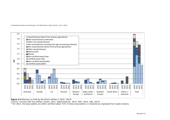

**Figure 3-2** Biomass co-fired by the Dutch utilities in 2010 -2013**\***

(Source: Surveys with the utilities; Essent, 2011; Agentschap NL, 2013; RVO, 2014; CBS, 2013)

 $*$  For 2013, the wood pellets are either certified (about 72% of total consumption) or declared as originated from waste streams.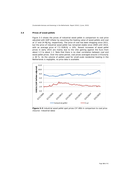#### **3.4 Prices of wood pellets**

<span id="page-15-0"></span>Figure 3-3 shows the prices of industrial wood pellet in comparison to coal price adjusted with GDP inflator by assuming the heating value of wood pellets and coal at 17 and 24 MJ/kg, respectively. The price of coal has been dropping since 2011, but the price of industrial wood pellet has remained stable since 2009 until 2014, with an average price of 7.5 EUR/GJ  $\pm$  10%. Recent increases of wood pellet prices in early 2015 are mainly due to the US\$ gaining against the Euro from about 1.3 to about 1.1. Note that there is no clear correlation between coal and wood pellet prices. Over the same period, coal prices averaged around 2.9 Euro/GJ  $±$  40 %. As the volume of pellets used for small-scale residential heating in the Netherlands is negligible, no price data is available.



**Figure 3-3** Industrial wood pellet spot prices CIF ARA in comparison to coal price (Source: Industrial data)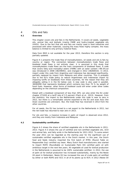## 4 Oils and fats

## **4.1 Overview**

<span id="page-16-0"></span>This chapter covers oils and fats in the Netherlands. It covers oil seeds, vegetable oils, animal fats and biofuels (mainly FAME and hydro-treated vegetable oils (HVO)). Due to the fact that oils and fats are mainly used in food industries and processed with other materials, causing the mass flows highly complex, the mass balance is limited to only primary material flows.

Data from MVO is not available for the year 2013, therefore this section is only partially updated.

Figure 4-1 presents the trade flow of monoalkylesters, oil seeds and oils & fats by country or region. The connection between monoalkylesters trade flows and biodiesel trade flows is not entirely clear; it is assumed in this study that monoalkylesters trade flows are the main components of biodiesel flows. A code that covers fatty-acid monoalkyl esters (FAME) with an ester content >96.5%vol was introduced in 2008 (38249091), and changed in 2012 (38260010). In 2013, import under this code from Argentina and Indonesia has decreased significantly, partially replaced by import from Malaysia and other countries. This is probably due to the EU's trade policy to reduce Argentinean and Indonesian import by imposing tariffs on biodiesels from these countries, for the reason that they are allegedly selling it in the EU below cost. A new code is also used in parallel, 38260090 that represents biodiesel which contains less than 70 % by weight of fossil fuels. However, other forms of biodiesel could still enter under other codes depending on the chemical composition.

Diesel with a biodiesel component of less than 30% can also enter the EU under chapter 271020 at a tariff rate of 3.5 percent (Flach et al., 2013). However, from the statistics, the import to the Netherlands under this code is near to zero in 2012, but there is a remarkable volume exported to the EU and even Asia (the Asian countries are unknown). But, the trade flow has reversed in 2013 from the other countries.

For oil seeds, the EU has turned to a net export to the Netherlands in 2011, but the net trade has returned to near zero in 2013.

For oils and fats, a massive increase in palm oil import is observed since 2012, and they are mostly from Indonesia and Malaysia.

## **4.2 Sustainability certification**

<span id="page-16-1"></span>Figure 4-2 shows the share of certified vegetable oils in the Netherlands in 2011- 2013. Figure 4-3 shows the use of certified and non-certified vegetable oils, UCO and animal fats, and fatty acids in the Netherlands for 2011-2012. To some extent the year 2011 can be regarded as the starting year for the significant use of sustainable certified vegetable oils in the Dutch market. In this year, the Dutch food and feeds industry imported the first batch of RTRS (Round Table on Responsible Soy) certified soy bean. Many Dutch food manufacturers also started to import RSPO (Roundtable on Sustainable Palm Oil) certified palm oil with ambitious target in the next few years. All vegetable oil used for biofuel production in the Netherlands is assumed to be 100% sustainable certified. In 2012, the use of palm oil for biofuel production has increased substantially, mainly by the Neste Oil plant in Rotterdam. Neste Oil has increased the use of crude palm oil certified by either or both RSPO and ISCC in all of its plants up to 91% in 2012 (Neste Oil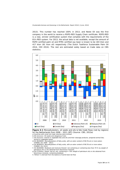2013). This number has reached 100% in 2013, and Neste Oil was the first company in the world to receive a RSPO-RED Supply Chain certificate. RSPO-RED is a new, stricter certification system that complies with the requirements of the EU's RED system. For 2013, the actual data is not available, except the amount of RSPO certified palm oil and RTRS certified soy bean is known to be 183 kton and 417 kton (81 kton oil) respectively (The Dutch Taskforce Sustainable Palm Oil 2014, IDH 2014). The rest are estimated solely based on trade data on CBS statistics.



**Figure 4-1** Monoalkylesters, oil seeds and oils & fats trade flows (net by regions) for the Netherlands from 2008 – 2011 (MT) (Source: CBS, 2012a) a.Countries with small net trade volumes were omitted

b.CN 12xxxxxx: Oil seeds and oleaginous fruits

c.CN 15xxxxxx: Animal or vegetable fats and oils and their cleavage products; prepared animal fats; animal or vegetable waxes

d.CN 38249091: Monoalkylesters of fatty acids, with an ester content of 96.5%vol or more esters (FAMAE) (for 2008 – 2011)

e.CN 38260010: Monoalkylesters of fatty acids, with an ester content of 96.5%vol or more esters (FAMAE) (for 2012)

f. CN 38260090: Biodiesel and mixtures thereof, not containing or containing less than 70 % by weight of petroleum oils or oils obtained from bituminous minerals.

g.CN 271020xx: Diesel, fuel oil, oils, containing>= 70% weight of petroleum oils or oils obtained from bituminous minerals, containing biodiesel.

h."Others" is derived from the balance of world total net flow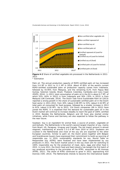

**Figure 4-2** Share of certified vegetable oils processed in the Netherlands in 2011- 2013

\* Estimation

*Palm oil:* The annual production capacity of RSPO certified palm oil has increased from 5.6 MT in 2011 to 11.1 MT in 2014. About 47.85% of the world's current RSPO-certified sustainable palm oil production capacity comes from Indonesia, followed by 43.95% from Malaysia, and the remaining 8.2% from Papua New Guinea, Solomon Islands, Brazil, Thailand, Colombia, Cambodia and Ivory Coast (RSPO, 2014). In 2013, total consumption of palm oil in the EU is about 6.7 MT, of which 52% (43% in 2012) is from Indonesia and 30% (35% in 2012) is from Malaysia (UN Comtrade, 2014). The Dutch Task Force Sustainable Palm oil (2013) reported a strong growth in the share of sustainable certified palm oil in the Dutch food sector in 2011-2012, from 30% (about 0.08 MT) to 53% (about 0.16 MT) of total palm oil consumed for food purpose, followed by a smaller increase in 2013 to 61% (about 0.18 MT). Up to 2013, 114 Dutch companies (99 in 2012) have joined the RSPO. It is expected that the demand for sustainable palm oil in the Dutch market will continue to increase steadily to reach the goal of 100% certified in 2015. Besides the Netherlands, Belgium and UK have also started similar initiatives, while France and Germany are also expected to follow the pathway in the near future.

*Soybean:* Soy is an ingredient for animal feed, a source of protein, vegetable oil and biofuels. The Netherlands is the world's second largest importer of soy, mainly from Brazil, US, Paraguay, Uruguay and Canada. The net import amount is almost stagnant, maintaining at around 2.3-2.4 MT from 2010 to 2013. Soybeans are crushed in the Netherlands and most of the soy oils are exported to the other European countries. Similar to palm oil, the Dutch actors together with Belgian and Scandinavian buyers have expressed their commitment to build up sourcing of responsible soy. In 2010, sustainability standards for soy, Round Table on Responsible Soy (RTRS) were finalized and have been implemented by soy producers in 2011. The Dutch market actors in the soy chain aim for switching to 100% responsible soy for the production of meat, dairy, eggs and other food in 2015. In June 2011, the Dutch food and feed industry has bought the first batch of soy produced according to the principles of the RTRS, amounted to 85 ktonnes (RTRS, 2011). The share of RTRS continued to grow in 2013, approaching 410 ktonnes (IDH, 2013). The Netherlands intends to become the international leader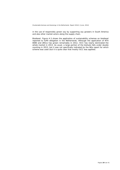in the use of responsibly grown soy by supporting soy growers in South America and also other market actors along the supply chain.

*Biodiesel*: Figure 4-3 shows the application of sustainability schemes on biodiesel reported to fulfill obligation in the Netherlands. Although the application of NTA 8080 and 2BSvs has grown remarkably in 2012, ISCC has nearly dominated the whole market in 2013. As usual, a large portion of the biofuels falls under double counting in 2013, but it was not specifically indicated by the NEa report for which scheme was used (but it is quite clear that mostly ISCC was applied).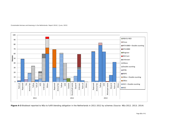

**Figure 4-3** Biodiesel reported to NEa to fulfill blending obligation in the Netherlands in 2011-2012 by schemes (Source: NEa 2012; 2013; 2014)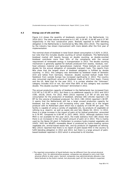#### **4.3 Energy use of oils and fats**

<span id="page-21-0"></span>Figure 4-4 shows the quantity of biodiesels consumed in the Netherlands [1](#page-21-1)in 2010-2013. The total volume amounted to 0.1 MT, 0.29 MT, 0.26 MT and 0.27 MT respectively in the four consecutive years. Biofuels reported to fulfill blending obligation in the Netherlands is monitored by NEa (NEa 2011-2014). The reporting by the industry has shown improvement with more details after the first year of implementation.

The nominal share of biodiesel in total Dutch diesel consumption is 5.62% in 2013, but note that this includes double counting of certain biodiesels. The Netherlands biodiesel market still heavily focuses on double counting, as double-counted biodiesel contribute more than 50% of the compliance with the annual requirement of renewable energy in transportation in 2013. The double counting mechanism is generally applied for biofuels produced from wastes, residues, nonfood cellulosic material and lignocellulosic material. These biofuels are counted double for the annual obligation of renewable transport fuels. The reports from NEa show that the largest share of biodiesel obligation is fulfilled by double counting. In 2012, this category was dominated by biodiesel made of domestic UCO and tallow from Germany. However, double counted biofuel made from feedstock from outside Europe has increased significantly in 2013. The country also consumed significant amount of biodiesel made of UCO from Spain, France and the US. Note that for the year 2011, it is unclear whether the "Unknown" category includes UCO or not, but more than 80% of this category was counted double. This double-counted "Unknown" diminished in 2012.

The annual production capacity of biodiesel in the Netherlands has increased from 0.52 MT to 2.03 MT in 2011, but there is no additional capacity in 2012 and 2013 (CBS, 2013b, 2014). For 2012, MVO (2013) reported 1.27 MT of oils and fats consumption for the production of biodiesel, whereas CBS (2013b) reported 1.18 MT for the volume of biodiesel produced. For 2013, CBS (2014) reported 1.38 MT. It seems that the Netherlands still has a large unused production capacity for biodiesel, but the usage is still increasing every year. Neste oil is the largest producer with its Rotterdam plant which has a capacity of 0.80 MT per year. The facility is capable of using a variety of vegetable oils, by-products of vegetable oil refining (e.g. stearin), as well as waste oils and fats (Neste Oil, 2011). In 2012, there is a large increase in the import of palm oil for biofuel production, amounted to 0.78 MT, compared to 0.08 MT in 2011 (MVO, 2013). Although statistics from MVO is not available for the year 2013, the trade statistics from CBS shows that there is an increased in the net import amount of palm oil in 2013. This is mainly used by the Neste Oil plant in Rotterdam to produce hydro-treated vegetable oils (HVO). HVO like NExBTL renewable diesel is produced by hydro-treating various vegetable oils, animal-based waste fats, and by-products of vegetable oil refining. NEa (2013) reported that there is no report of palm-based HVO in the country to fulfill blending obligation in 2012 and 2013, but there is a large amount of palmbased biodiesel reported in 2013 which is amounted to 42 ktonnes.

<span id="page-21-1"></span><sup>1</sup> The reported consumption of liquid biofuels may be different from the actual physical situation. First, for administrative purpose, companies are allowed to carry over their physical efforts to later years. Second, companies may administratively allocate a low blend biofuels to the Dutch market, but physically (part of) this low blend is exported.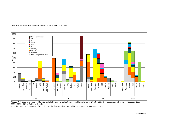



**Figure 4-4** Biodiesel reported to NEa to fulfill blending obligation in the Netherlands in 2010 - 2013 by feedstock and country (Source: NEa, 2011; 2012; 2013; Table VI 2014)

Note: Tiny streams are omitted. 'Others' implies the feedstock is known to NEa but reported at aggregated level.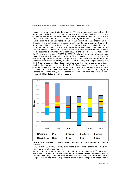Figure 4-5 shows the trade balance of FAME and biodiesel reported by the Netherlands. This figure does not include the trade of feedstock (e.g. vegetable oils and oil seeds), so the trade balance does not represent consumption. It is also important to point out that the trade is also largely influenced by trade policies and the existing global vegetable oil and oilseed market. It seems that the US has changed from a net biodiesel exporter to net importer as a trade partner of the Netherlands. The large volume of import in 2008 – 2009 (including the import from Canada) is mainly due to the "splash-and-dash" effect described in the previous reports. Indonesia has turned out to be a large exporter of FAMAE (which can be assumed all are made from palm oil), but the trade has largely replaced by the Malaysian palm-based FAMAE in 2013. Similarly, the import of Argentinean FAMAE has dropped substantially in 2013. This is mainly because in 2013, the EU started to expand trade barriers to Argentina and Indonesia by imposing tariffs on biodiesels from these countries, for the reason that they are allegedly selling it in the EU below cost. As NEa (2013) indicates that there is no soy or palm-based biodiesel is reported in the country in 2012, these FAMAE is assumed to be reexported. Previously, the EU has also hit the US with a 5-year anti-dumping duties in 2009. In contrast, with the recently reinstated tax credit of \$1.00/gal for biodiesel in January 2013, these biodiesel is expected to flow into the US instead of the EU (ICIS, 2013; Bloomberg, 2013).



**Figure 4-5** Biodiesel\* trade balance reported by the Netherlands (Source: EUROSTAT)

\* 38249091, 38260010 - Fatty acid mono-alkyl esters, containing by volume 96.5% or more of esters (FAMAE)

Another interesting emerging market to look at is the trade of UCO and animal fats as shown in Figure 4-6. The Netherlands biodiesel market still heavily focuses on double counting, as double-counted biodiesel contribute more than 50% of the compliance with the annual requirement of renewable energy in transportation in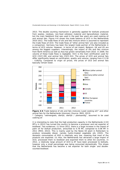2013. The double counting mechanism is generally applied for biofuels produced from wastes, residues, non-food cellulosic material and lignocellulosic material, but the main feedstock that was used in the past few years are used cooking oil and animal fats. Figure 4-6 shows the trade balance of UCO in the Netherlands 2010-2012. The trade flows of oils and fats mixture which is assumed to represent the trade flows of UCO. The trade flows of "other animal fats" are also included as a comparison. Germany has been the largest trade partner of the Netherlands in terms of UCO volume. However, in terms of net import, Belgium, UK and US are among the biggest suppliers. Interestingly, the import of oils and fats mixture from North America as well as Asia has grown remarkably from 2010. In 2009, the volume of these trade flows is negligible. ISCC is the main certification used for UCO (ISCC-DE) and animal fats (ISCC-EU). The prices of UCO and animal fats differ significantly based on certification, quality and volume, ranging from  $\epsilon$  0.30 - 0.80/kg. Compared to virgin oil prices, the prices of UCO and animal fats basically remain lower.



**Figure 4-6** Trade balance of oils and fats mixtures (used cooking oil)\* and other animal fats for the Netherlands (ktonnes) (Source: MVO, 2013)

\* Category "vetmengsels, dierlijk, dierlijk / plantaardig", assumed to be used cooking oil

It is interesting to note that the high production capacity in the Netherlands (2.03 MT/y in 2012) has turned the country to become a processor and net exporter of biodiesel. Two evidences: (i) Since 2012, there is a large increase in the import of palm oil for biofuel production, amounted to 0.78 MT, compared to 0.08 MT in 2011 (MVO, 2013). This is mainly used by the Neste Oil plant in Rotterdam to produce renewable diesel, namely hydro-treated vegetable oils (HVO). The domestic consumption of HVO is relatively very low, meaning that most of the products are exported. (ii) Also, the Netherlands has attracted a large import of UCO, processed them to biodiesel and exported them to other EU countries. In 2012, a relatively large amount of UCO & AF have been processed to biofuels, however only a small percentage was being consumed domestically. This shows that the Netherlands has become a net exporter for both single- and doublecounted biodiesel.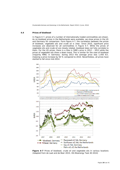#### **4.4 Prices of biodiesel**

In Figure 4-7, prices of a number of internationally traded commodities are shown. As no biodiesel prices in the Netherlands were available, we show prices in the US and Germany for comparison. Form figure 4-7, the correlation between the prices of biodiesel, vegetable oils and crude oil is clear. Since 2010, significant price increases are observed for all commodities in Figure 4-7. While the prices of vegetable oils and crude oil are closely related, biodiesel does not fully correlate to them. For the US prices, there is a hike in SME's price in 2012 – 2013 while the prices of vegetable oils show a down trend. This is similar for the case of biodiesel (majority RME) in Germany: during 2013 the average price was  $1,450 \in \mathcal{H}$ , implying a price increase by 50 % compared to 2010. Nevertheless, all prices have started to fall since mid-2014.



**Figure 4-7** Prices of biodiesel, crude oil and vegetable oils in various locations (Adapted from de Laat and de Boer 2015, IEA Bioenergy Task 40 2014)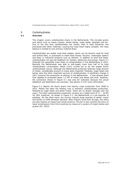## 5 Carbohydrates

## **5.1 Overview**

<span id="page-26-1"></span><span id="page-26-0"></span>This chapter covers carbohydrate chains in the Netherlands. This includes grains and starch such as maize (maize), wheat barley, sugar beets, potatoes and etc. Due to the fact that carbohydrates are mainly used in food industries and processed with other materials, causing the mass flows highly complex, the mass balance is limited to only primary material flows.

Carbohydrates are widely used food staples, which can be directly used for food and animal feed, or processed to make food (bread, biscuits), beverages (beers) and feed, or industrial products such as ethanol. In addition to food and feeds, carbohydrates can also be feedstock for textiles, adhesives and energy. Figure 5-1 illustrate the quantified mass flows of carbohydrates in the Netherlands in 2013. Basically the Netherlands was able to self-supply more than half of its total carbohydrates consumption. Maize (corn) turned out to be the largest Dutch carbohydrates source. Although the Netherlands produced relatively large amount of maize, considerable amount of maize were imported. Potatoes, sugar beets and barley were the other important sources of carbohydrates. A significant change in 2011 could be the production of ethanol in the Netherlands - a new ethanol plant that capable to processed about 1.2 MT of maize and wheat was built. However, the connection shown in Figure 5-1 was only for indication because the actual feedstock and destination are unknown. See section 5.3 for more information.

Figure 5-2 depicts the Dutch grains and starchy crops production from 2008 to 2013. Potato has been the leading crop in domestic carbohydrates production, followed by sugar beets and green maize. There are no drastic changes over the years. The total carbohydrates production remains at a stable level of 17 – 19 MT (at 16% moisture). As shown in Figure 5-1, the Netherlands is a net exporter of potatoes. On the other hand, the country imports large quantity of wheat, maize and barley to fulfill domestic demand. Most imports come from Europe, but there are also imports of maize from South America. The EU in fact controls the entry of lower priced grains from third countries by means of a system of import duties and quotas (EC, 2013).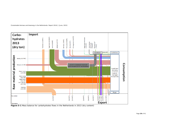



**Figure 5-1** Mass balance for carbohydrates flows in the Netherlands in 2013 (dry content)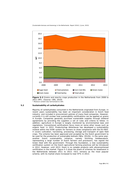

**Figure 5-2** Grains and starchy crops production in the Netherlands from 2008 to 2011 (MT). (Source: CBS, 2014)

<span id="page-28-0"></span>\* Moisture content was harmonized to 16%

## **5.2 Sustainability of carbohydrates**

Majority of carbohydrates consumed in the Netherlands originated from Europe. In recent years sustainability has been an important consideration in Dutch food industry, and included in procurement policies of many food companies. However, currently it is still unclear how sustainability certifications can be applied on grains in Europe. Companies generally purchase sustainable supplies through bilateral agreements by providing the suppliers a set of rules and criteria to follow. In addition, agriculture in Europe is largely monitored by environmental laws and regulations. Conventional certifications focus more on some other issues such as organic food. In 2012, Productschap Akkerbouw has developed a sustainability module within the VVAK system for farmers to show compliance with the EU-RED. It covers cultivation, harvesting, processing, storage and transport of open field crops. The scheme has been approved and accepted by the Dutch government to be used for the production of sustainable biofuels (NEa, 2012b). In the same year, another Dutch sustainability initiative, namely Stichting Veldleeuwerik, representing a large number of Dutch farmers and processors, has signed the Green Deal with the government. Through this foundation, a new sustainability certification system on the Dutch agricultural farming practices will be introduced in 2012. However, until 2013, there is no notable products with aforementioned certification in the market. Figure 5-3 show the share of schemes for bioethanol in the Netherlands between 2011 to 2013. ISCC remains as the most popular scheme, with its market share increased to near 97% in 2013.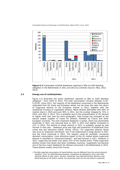

**Figure 5-3** Sustainable certified bioethanol reported to NEa to fulfill blending obligation in the Netherlands in 2011 and 2012 by schemes (Source: NEa, 2012; 2013)

#### **5.3 Energy use of carbohydrates**

<span id="page-29-0"></span>Figure 5-4 illustrates the Dutch bioethanol reported to NEa to fulfill blending obligation <sup>[2](#page-29-1)</sup> from 2010 to 2013. The total consumption remains between 0.18– 0.19 MT. Since 2011, the majority of the bioethanol consumed in the Netherlands originated from US maize and European wheat, but we have also seen the return of sugarcane ethanol to the European market in 2013, together with the substantial increase of sugarbeets ethanol. Maize ethanol dominates with 40% of market share in 2010 and even 90% in 2011, but the number dropped to 71% in 2012, and 34% in 2013. This is probably due to the reclassification of US ethanol to higher tariff rate (see the third paragraph). East Europe has emerged as the second largest supplier of maize for ethanol, followed by France and other European countries. The next important feedstock is wheat, which has plummeted drastically in 2011, but bounced back to 18% in 2012 and slightly increased to 21% in 2013. The decline of wheat ethanol in 2011 is probably caused by bad harvest in that year - feedstock price was high and production of bioethanol from cereal was less attractive (GAIN, 2012a; 2012c). For sugarcane ethanol, Brazil was once an important contributor, but it has experienced a large decline in 2011 and the trend continued in 2012. The reasons could be multifold: increasing domestic consumption, more attractive export to the US market where sugarcane ethanol is classified as "advanced biofuels", and bad harvest in 2011. However in 2013, sugarcane has taken over about 21% of the market share. These sugarcane ethanol comes from Brazil and other Caribbean countries. Sugarbeets has become one of the four major feedstocks for ethanol consumed in the Netherlands in 2013. These ethanol mostly come from France.

<span id="page-29-1"></span>2 The NEa reported consumption of liquid biofuels may be different from the actual physical situation. First, for administrative purpose, companies are allowed to carry over their physical efforts to later years. Second, companies may administratively allocate a low blend biofuels to the Dutch market, but physically (part of) this low blend is exported.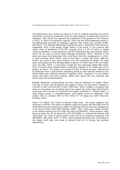The Netherlands may continue to become a hub for biofuels blending and further distribution, as well as production since its large seaports provides easy access to feedstock. CBS (2014) has reported the production of bio-gasoline is 414 ktonnes in 2013. In terms of production capacity, there are two large bioethanol plants in the Netherlands operated by Abengoa (capacity 480 ktons) and Lyondell (ETBE, 400 ktons). The Abengoa Bioenergy's bioethanol plant in Rotterdam that started in September 2010 is the largest single facility in the world. It can produce 480 million litres of bioethanol (0.38 MT) annually from 1.2 MT of maize or wheat cereal as feedstock. It also produces 0.36 MT of distilled grains and solubles (DGS) which can be used an animal feed (Abengoa Bioenergy, 2012). However it has been shut down from December 2012 until March 2013 for maintenance. In 2013, in total overseas grain import used by the plant is about 462 ktons (388 dry ktons), but there is also some imports from the hinterland by barge. The total grain consumption by the Abengoa plant is about 2.4 million tons (2.01 dry million tons) (Du Mez, 2014). In June 2012, Cargill has also reportedly added 380 million litres of annual starch-based ethanol production capacity to its wheat wet-mill in Bergen op Zoom. The facility can process 0.6 MT of wheat annually. Ethanol will be produced from a side stream containing starch as raw material instead of the whole wheat grain (Ethanol producer magazine, 2012). However, it is not publicly known that how much they produce, where they source the raw materials and where they sell the bioethanol to.

Besides bioethanol, carbohydrates are also used as feedstock for biogas. About 0.36 MT of maize was fermented into biogas in 2010, but this figure dropped to 0.18 MT in 2011 and 0.03 MT in 2013 (CBS 2012; 2014). AVEBE, a company that works on innovation use of potato starch has signed the Green Deal with Drenthe (province) that involves an investment for biogas production in "Potato Power", a large biogas project in Gasselternijveen using potato starch as feedstock. This project aims to produce 500 to 750 million  $m<sup>3</sup>$  of biogas by 2020 (Provincie Drenthe, 2012).

Figure 5-5 depicts the trend of ethanol trade flows. The major suppliers are American countries. The import of ethanol under the groups CN 22071000 and CN 22072000 have plummeted since 2008. The Brazilian ethanol has also disappeared in the Dutch market after 2009. Between 2009 – 2011, there was a steep increase of US ethanol entering the EU under the code CN 38249707. These products were found to leave the US as denatured (CN 22072000) or undenatured ethanol (CN 22071000), but most of those exports enter the EU as chemical compound (CN 38249097) with lower tariff. In 2012, these bioethanol blends was reclassified to the higher tariff rate, and trade of ethanol from US to Europe has declined significantly.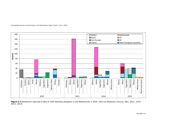

2013; 2014)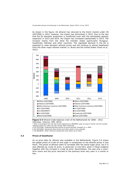As shown in the figure, US ethanol has returned to the Dutch market under CN 22072000 in 2012, however, the import has diminished in 2013. Due to the fact that the EU domestic production is insufficient even with the anticipated capacity expansion in 2013 and 2014, the import has increased substantially in 2013. The increase mainly from the other EU member states (particularly Hungary), Guatemala, Pakistan and other countries. The regulated demand in the EU is expected to raise domestic ethanol prices and will continue to attract bioethanol from the other major ethanol market i.e. Brazil and the United States (Flach et al., 2012).



**Figure 5-5** Ethanol trade balances (net) of the Netherlands for 2008 – 2012 (ktonnes). (Source: CBS, 2013)

\* Note: Fuel ethanol from US was found registered as 38249097 upon arriving in the EU, but the number reported under this code may also contain other chemicals.

a. CN 22071000: Undenatured ethyl alcohol of actual alcoholic strength of  $> = 80\%$ 

b.CN 22072000: Denatured ethyl alcohol and other spirits of any strength

c.CN 38249097: Other chemical compounds (only shown up to 2012)

## **5.4 Prices of bioethanol**

As no price data for ethanol was available in the Netherlands, Figure 5-6 shows the global prices of crude oil and sugar in comparison to the ethanol prices in Sao Paulo. The prices of ethanol seem to correlate with the world sugar price, but it is also affected by crude oil price, in particular in mid-2011 when it hiked suddenly together with the increase in crude oil price. Nevertheless, this was only a shortterm shock and the price returned to the previous level very soon in a month or two.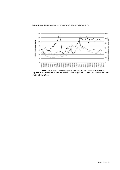

**Figure 5-6** Trends of crude oil, ethanol and sugar prices (Adapted from de Laat and de Boer 2015)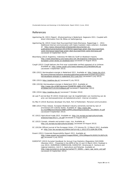## <span id="page-34-0"></span>References

- Agentschap NL (2011) Report: Afvalverwerking in Nederland, Gegevens 2011. Coupled with direct information from NL Milieu en leefomgeving.
- Agentschap NL (2013) Green Deal Duurzaamheid Vaste Biomassa. Rapportage 1 2012. Additional internal communication with Sipke Castelein (data collector). Available at: [http://www.rijksoverheid.nl/bestanden/documenten-en](http://www.rijksoverheid.nl/bestanden/documenten-en-publicaties/kamerstukken/2013/09/02/rapportage-green-deal-duurzaamheid-vaste-biomassa/rapportage-green-deal-duurzaamheid-vaste-biomassa.pdf)[publicaties/kamerstukken/2013/09/02/rapportage-green-deal-duurzaamheid](http://www.rijksoverheid.nl/bestanden/documenten-en-publicaties/kamerstukken/2013/09/02/rapportage-green-deal-duurzaamheid-vaste-biomassa/rapportage-green-deal-duurzaamheid-vaste-biomassa.pdf)[vaste-biomassa/rapportage-green-deal-duurzaamheid-vaste-biomassa.pdf](http://www.rijksoverheid.nl/bestanden/documenten-en-publicaties/kamerstukken/2013/09/02/rapportage-green-deal-duurzaamheid-vaste-biomassa/rapportage-green-deal-duurzaamheid-vaste-biomassa.pdf) [accessed 10 September 2013]
- Bloomberg (2013) Argentina, Indonesia Hit With EU Tariff on Biodiesel Imports [http://www.bloomberg.com/news/2013-05-28/argentina-indonesia-hit-with](http://www.bloomberg.com/news/2013-05-28/argentina-indonesia-hit-with-european-union-levies-on-biodiesel.html)[european-union-levies-on-biodiesel.html](http://www.bloomberg.com/news/2013-05-28/argentina-indonesia-hit-with-european-union-levies-on-biodiesel.html) [accessed 23 August 2013]
- Cargill (2012) Cargill delivers the first-ever sustainable verified rapeseed oil to Unilever. Available at:<http://www.cargill.com/news/releases/2012/NA3064146.jsp> [accessed 3 September 2013]
- CBS (2012) Hernieuwbare energie in Nederland 2011. Available at: [http://www.cbs.nl/nl-](http://www.cbs.nl/nl-NL/menu/themas/industrie-energie/publicaties/publicaties/archief/2012/2012-hernieuwbare-energie-in-nederland-2011-pub.htm)[NL/menu/themas/industrie-energie/publicaties/publicaties/archief/2012/2012](http://www.cbs.nl/nl-NL/menu/themas/industrie-energie/publicaties/publicaties/archief/2012/2012-hernieuwbare-energie-in-nederland-2011-pub.htm) [hernieuwbare-energie-in-nederland-2011-pub.htm](http://www.cbs.nl/nl-NL/menu/themas/industrie-energie/publicaties/publicaties/archief/2012/2012-hernieuwbare-energie-in-nederland-2011-pub.htm) [accessed 5 July 2013]
- CBS (2013)<http://statline.cbs.nl/> [accessed 5 July 2013]
- CBS (2013b) Hernieuwbare energie in Nederland 2012. Available at: [http://www.cbs.nl/NR/rdonlyres/7E4AB783-ABB3-4747-88BA-](http://www.cbs.nl/NR/rdonlyres/7E4AB783-ABB3-4747-88BA-AF3E66A7ACF1/0/2013c89pub.pdf)[AF3E66A7ACF1/0/2013c89pub.pdf](http://www.cbs.nl/NR/rdonlyres/7E4AB783-ABB3-4747-88BA-AF3E66A7ACF1/0/2013c89pub.pdf) [accessed 5 September 2013]
- CBS (2014)<http://statline.cbs.nl/> [accessed 7 October 2014]
- de Laat P and de Boer M (2015) Onderzoek naar de mogelijkheden van monitoring van de prijs van biomassastromen als beleidsinstrument. Internal circulation.
- Du Mez H (2014) Business developer Dry Bulk, Port of Rotterdam. Personal communication.
- EBB (2013) Press release. European Biodiesel Industry extremely worried by lack of provisional anti-subsidy duties. Available at: [http://www.ebb](http://www.ebb-eu.org/EBBpressreleases/EBB%20PR%20lackASproviDuties_20130829_fin.pdf)[eu.org/EBBpressreleases/EBB%20PR%20lackASproviDuties\\_20130829\\_fin.pdf](http://www.ebb-eu.org/EBBpressreleases/EBB%20PR%20lackASproviDuties_20130829_fin.pdf) [accessed 9 September 2013]
- EC (2012) Agricultural trade 2012. Available at: [http://ec.europa.eu/agriculture/trade](http://ec.europa.eu/agriculture/trade-analysis/map/2013-1_en.pdf)[analysis/map/2013-1\\_en.pdf](http://ec.europa.eu/agriculture/trade-analysis/map/2013-1_en.pdf) [accessed 21 August 2013]
- EC (2013) Cereals, oilseeds and protein crops, rice. Available at: <http://ec.europa.eu/agriculture/cereals/> [accessed 20 August 2013]
- EC (2013b) Official Journal of the European Union, L73 Volume 55, 13 March 2012. Available at:<http://eur-lex.europa.eu/JOHtml.do?uri=OJ:L:2012:073:SOM:EN:HTML>
- Essent (2011) Corporate Responsibility Report 2011. Available at: [http://www.essent.eu/content/Images/95042\\_CR%20Report%202011%282%29.](http://www.essent.eu/content/Images/95042_CR%20Report%202011%282%29.pdf) [pdf](http://www.essent.eu/content/Images/95042_CR%20Report%202011%282%29.pdf) [accessed 5 July 2013]
- EUROSTAT (2013) Eurostat Handbook for Annual Crop Statistics (Regulation 543/2009) (Revision 2013 – Presented in the WPM of the 12 and 13 March 2013, finalised in July 2013). EUROPEAN COMMISSION, EUROSTAT, Directorate E: Sectoral and regional statistics, Unit E-1: Agriculture and fisheries. Available at: [http://epp.eurostat.ec.europa.eu/cache/ITY\\_SDDS/.../apro\\_cpp\\_esms\\_an2.pdf](http://epp.eurostat.ec.europa.eu/cache/ITY_SDDS/.../apro_cpp_esms_an2.pdf) [accessed 24 September 2013]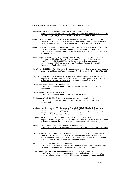- Flach et al. (2013) EU-27 Biofuels Annual 2013. USDA. Available at: [http://gain.fas.usda.gov/Recent%20GAIN%20Publications/Biofuels%20Annual\\_Th](http://gain.fas.usda.gov/Recent%20GAIN%20Publications/Biofuels%20Annual_The%20Hague_EU-27_8-13-2013.pdf) [e%20Hague\\_EU-27\\_8-13-2013.pdf](http://gain.fas.usda.gov/Recent%20GAIN%20Publications/Biofuels%20Annual_The%20Hague_EU-27_8-13-2013.pdf) [accessed 5 September 2013]
- Goh CS, Junginger HM, Jonker GJ (2012) IEA Bioenergy Task 40 Country report for the Netherlands 2011. Available at: [http://www.bioenergytrade.org/downloads/iea](http://www.bioenergytrade.org/downloads/iea-task-40-country-report-2011-the-netherland.pdf)[task-40-country-report-2011-the-netherland.pdf](http://www.bioenergytrade.org/downloads/iea-task-40-country-report-2011-the-netherland.pdf) [accessed 5 July 2013]
- Goh CS, et al. (2013) Monitoring Sustainability Certification of Bioenergy (Task 3): Impacts of sustainability certification on bioenergy markets and trade. Available at: <http://bioenergytrade.org/downloads/iea-sust-cert-task-3-final2013.pdf> [accessed 23 August 2013]
- Guinn JM (2013) Domestic Quality Standards and Trading Rules and Recommended Export Contract Specifications for U.S. Soybeans and Products. USSEC. Available at: [http://28vp741fflb42av02837961yayh.wpengine.netdna-cdn.com/wp](http://28vp741fflb42av02837961yayh.wpengine.netdna-cdn.com/wp-content/uploads/2012/08/Guinn_Quality_Standards_Trading_Rules2002.pdf)[content/uploads/2012/08/Guinn\\_Quality\\_Standards\\_Trading\\_Rules2002.pdf](http://28vp741fflb42av02837961yayh.wpengine.netdna-cdn.com/wp-content/uploads/2012/08/Guinn_Quality_Standards_Trading_Rules2002.pdf) [accessed 24 September 2013]
- Gustafsson JE (2009) Sustainable use of Biofuels. Academic collection of assignment papers. Department of Land and Water resources, KTH, Sweden, ISBN 978-91-7415-321- 7.
- ICIS (2013) Asia PME seen stable as low supply counters weak demand. Available at: [http://www.icis.com/Articles/2013/05/31/9673051/asia-pme-seen-stable-as-low](http://www.icis.com/Articles/2013/05/31/9673051/asia-pme-seen-stable-as-low-supply-counters-weak-demand.html)[supply-counters-weak-demand.html](http://www.icis.com/Articles/2013/05/31/9673051/asia-pme-seen-stable-as-low-supply-counters-weak-demand.html) [accessed 9 September 2013]
- IDH (2013) Annual report 2012. Available at: <http://www.idhsustainabletrade.com/site/getfile.php?id=399> [accessed 5 September 2013]
- IDH (2014) Progress 2013. Available at: <http://www.idhsustainabletrade.com/soja-results-2012>
- IEA Bioenergy Task 40 (2014) Germany Country Report 2014. Available at: [http://bioenergytrade.org/downloads/iea-task-40-country-report-2014](http://bioenergytrade.org/downloads/iea-task-40-country-report-2014-germany.pdf) [germany.pdf](http://bioenergytrade.org/downloads/iea-task-40-country-report-2014-germany.pdf)
- Junginger M, Schouwenberg PP, Nikolaisen L, Andrade O (2013) Chapter 7 Drivers and Barriers for Bioenergy Trade. In: International Bioenergy Trade - History, status & outlook on securing sustainable bioenergy supply, demand and markets. Eds. Junginger M, Goh CS, Faaij APC. Springer, Dodrecht.
- Knight S (2013) EU-27 Grain and Feed Annual 2013. USDA. Available at: [http://gain.fas.usda.gov/Recent%20GAIN%20Publications/Grain%20and%20Feed](http://gain.fas.usda.gov/Recent%20GAIN%20Publications/Grain%20and%20Feed%20Annual_London_EU-27_4-4-2013.pdf) [%20Annual\\_London\\_EU-27\\_4-4-2013.pdf](http://gain.fas.usda.gov/Recent%20GAIN%20Publications/Grain%20and%20Feed%20Annual_London_EU-27_4-4-2013.pdf) [accessed 5 September 2013]
- Lamers P (2012) International biodiesel market. Available at: [http://www.ecofys.com/files/files/ecofys\\_ufop\\_2012\\_internationalbiodieselmarket](http://www.ecofys.com/files/files/ecofys_ufop_2012_internationalbiodieselmarkets.pdf) [s.pdf](http://www.ecofys.com/files/files/ecofys_ufop_2012_internationalbiodieselmarkets.pdf)
- Lamers P, Rosillo-Calle F, Pelkmans L, Hamelinck C (2013) Chapter 2 Developments in International Liquid Biofuel Trade. In: International Bioenergy Trade: History, status & outlook on securing sustainable bioenergy supply, demand and markets. Eds: Junginger M, Goh CS, Faaij APC. Springer, Dodrecht.
- MVO (2013) Statistisch jaarboek 2012. Available at: [http://www.mvo.nl/Kernactiviteiten/MarktonderzoekenStatistiek/StatistischJaarbo](http://www.mvo.nl/Kernactiviteiten/MarktonderzoekenStatistiek/StatistischJaarboek/tabid/380/language/en-US/Default.aspx) [ek/tabid/380/language/en-US/Default.aspx](http://www.mvo.nl/Kernactiviteiten/MarktonderzoekenStatistiek/StatistischJaarboek/tabid/380/language/en-US/Default.aspx) [accessed 5 September 2013]
- NEa (2011) Rapportage duurzaamheid biobrandstoffen 2010. Available at: [http://www.rijksoverheid.nl/onderwerpen/biobrandstoffen/documenten-en](http://www.rijksoverheid.nl/onderwerpen/biobrandstoffen/documenten-en-publicaties/kamerstukken/2011/03/29/toezending-rapportage-duurzaamheid-biobrandstoffen-2010-bijlage-nea-rapportage-duurzaamheid-biobrandstoffen-2010.html)[publicaties/kamerstukken/2011/03/29/toezending-rapportage-duurzaamheid-](http://www.rijksoverheid.nl/onderwerpen/biobrandstoffen/documenten-en-publicaties/kamerstukken/2011/03/29/toezending-rapportage-duurzaamheid-biobrandstoffen-2010-bijlage-nea-rapportage-duurzaamheid-biobrandstoffen-2010.html)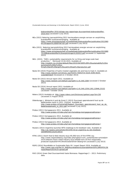[biobrandstoffen-2010-bijlage-nea-rapportage-duurzaamheid-biobrandstoffen-](http://www.rijksoverheid.nl/onderwerpen/biobrandstoffen/documenten-en-publicaties/kamerstukken/2011/03/29/toezending-rapportage-duurzaamheid-biobrandstoffen-2010-bijlage-nea-rapportage-duurzaamheid-biobrandstoffen-2010.html)[2010.html](http://www.rijksoverheid.nl/onderwerpen/biobrandstoffen/documenten-en-publicaties/kamerstukken/2011/03/29/toezending-rapportage-duurzaamheid-biobrandstoffen-2010-bijlage-nea-rapportage-duurzaamheid-biobrandstoffen-2010.html) [accessed 5 July 2013]

- NEa (2012) Naleving jaarverplichting 2011 hernieuwbare energie vervoer en verplichting brandstoffen luchtverontreiniging. Available at: [https://www.emissieautoriteit.nl/mediatheek/biobrandstoffen/publicaties/2012060](https://www.emissieautoriteit.nl/mediatheek/biobrandstoffen/publicaties/20120606%20rapport%20DEFINITIEF.pdf) [6%20rapport%20DEFINITIEF.pdf](https://www.emissieautoriteit.nl/mediatheek/biobrandstoffen/publicaties/20120606%20rapport%20DEFINITIEF.pdf) [accessed 5 July 2013]
- NEa (2013) Naleving jaarverplichting 2012 hernieuwbare energie vervoer en verplichting brandstoffen luchtverontreiniging. Available at: [https://www.emissieautoriteit.nl/mediatheek/biobrandstoffen/publicaties/2013080](https://www.emissieautoriteit.nl/mediatheek/biobrandstoffen/publicaties/20130807%20Biobrandstoffen%20verplichtingen%202012.pdf) [7%20Biobrandstoffen%20verplichtingen%202012.pdf](https://www.emissieautoriteit.nl/mediatheek/biobrandstoffen/publicaties/20130807%20Biobrandstoffen%20verplichtingen%202012.pdf) [accessed 11 September 2013]
- NEA. (2015). "SDE+ sustainability requirements for co-firing and large scale heat production." Retrieved 15.04.2015, Available at: [http://english.rvo.nl/sites/default/files/2015/04/SDE%2B%20sustainability%20re](http://english.rvo.nl/sites/default/files/2015/04/SDE%2B%20sustainability%20requirements%20for%20co-firing%20and%20large%20scale%20heat%20production.pdf) [quirements%20for%20co](http://english.rvo.nl/sites/default/files/2015/04/SDE%2B%20sustainability%20requirements%20for%20co-firing%20and%20large%20scale%20heat%20production.pdf)[firing%20and%20large%20scale%20heat%20production.pdf](http://english.rvo.nl/sites/default/files/2015/04/SDE%2B%20sustainability%20requirements%20for%20co-firing%20and%20large%20scale%20heat%20production.pdf)
- Neste Oil (2010) Properties of hydro-treated vegetable oils and how to track it. Available at: [http://www.nesteoil.com/binary.asp?GUID=7A041F14-022A-4295-B1E4-](http://www.nesteoil.com/binary.asp?GUID=7A041F14-022A-4295-B1E4-1102585F5E3F) [1102585F5E3F](http://www.nesteoil.com/binary.asp?GUID=7A041F14-022A-4295-B1E4-1102585F5E3F) [Accessed on 2 October 2013]
- Neste Oil (2013) Annual report 2012. Available at: <http://www.nesteoil.com/default.asp?path=1,41,540,2384> [accessed 2 October 2013]
- Neste Oil (2014) Annual report 2013. Available at: <http://www.nesteoil.com/default.asp?path=1,41,540,1259,1261,22846,23152> [accessed 7 October 2014]
- Nidera (2013) Available at:<http://www.nidera.com/Dictionary/gettext.aspx?id=230> [accessed 21 August 2013]
- Oldenburger J, Winterink A and de Groot C (2013) Duurzaam geproduceerd hout op de Nederlandse markt in 2011. [Online]. Available at: [http://www.probos.nl/home/pdf/Rapport\\_Duurzaam\\_geproduceerd\\_hout\\_op\\_de\\_](http://www.probos.nl/home/pdf/Rapport_Duurzaam_geproduceerd_hout_op_de_Nederlandsemarkt_in_2011.pdf) [Nederlandsemarkt\\_in\\_2011.pdf](http://www.probos.nl/home/pdf/Rapport_Duurzaam_geproduceerd_hout_op_de_Nederlandsemarkt_in_2011.pdf) [accessed 5 July 2013].
- Probos (2011) Kerngegevens 2011. Available at: [http://www.probos.nl/index.php?cat=home&top=kerngegevens&frames=](http://www.probos.nl/index.php?cat=home&top=kerngegevens&frames)
- Probos (2012) Kerngegevens 2012. Available at: [http://www.probos.nl/index.php?cat=home&top=kerngegevens&frames=](http://www.probos.nl/index.php?cat=home&top=kerngegevens&frames)
- Probos (2013) Kerngegevens 2013. Available at: [http://www.probos.nl/index.php?cat=home&top=kerngegevens&frames=](http://www.probos.nl/index.php?cat=home&top=kerngegevens&frames)
- Reuters (2013) Argentina launches WTO challenge to EU biodiesel rules. Available at: [http://uk.reuters.com/article/2013/05/15/uk-argentina-eu-wto-biodiesel](http://uk.reuters.com/article/2013/05/15/uk-argentina-eu-wto-biodiesel-idUKBRE94E12G20130515)[idUKBRE94E12G20130515](http://uk.reuters.com/article/2013/05/15/uk-argentina-eu-wto-biodiesel-idUKBRE94E12G20130515)
- RTRS (2011) Dutch food & feed industry buys 85,000 tons of first RTRS soy. http://www.responsiblesoy.org/index.php?option=com\_content&view=article&id= 251%3Adutch-food-a-feed-industry-buys-85000-tons-of-first-responsiblyproduced-soy&catid=4%3Anoticias&Itemid=3&lang=en [accessed 5 July 2013]
- RSPO (2014) Roundtable on Sustainable Palm Oil. Impact Report 2014. Available at: [http://www.rspo.org/file/14\\_0082RoundtableonSustainablePalmOil%28RSPO%29I](http://www.rspo.org/file/14_0082RoundtableonSustainablePalmOil%28RSPO%29ImpactReport2014v14-spread.pdf) [mpactReport2014v14-spread.pdf](http://www.rspo.org/file/14_0082RoundtableonSustainablePalmOil%28RSPO%29ImpactReport2014v14-spread.pdf)
- RVO (2014) Green Deal Duurzaamheid Vaste Biomassa. Rapportage 2 2013. Preliminary data.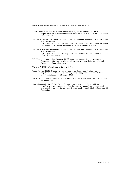- SER (2015) Utilities and NGOs agree on sustainability crietria biomass (In Dutch). https://www.ser.nl/nl/actueel/persberichten/2010-2019/2015/20150313-akkoordbiomassa.aspx
- The Dutch Taskforce Sustainable Palm Oil (Taskforce Duurzame Palmolie) (2013). Resultaten 2012. Available at: [http://www.taskforceduurzamepalmolie.nl/Portals/4/download/TaskForceSustaina](http://www.taskforceduurzamepalmolie.nl/Portals/4/download/TaskForceSustainablePalmoil-AnnualReport2012-v3.pdf) [blePalmoil-AnnualReport2012-v3.pdf](http://www.taskforceduurzamepalmolie.nl/Portals/4/download/TaskForceSustainablePalmoil-AnnualReport2012-v3.pdf) [accessed 2 September 2013]
- The Dutch Taskforce Sustainable Palm Oil (Taskforce Duurzame Palmolie) (2014). Resultaten 2013. Available at: http://www.taskforceduurzamepalmolie.nl/Portals/4/download/TaskForceDuurzam ePalmolie-rapportage2013v2.pdf
- TIS (Transport-Informations-Service) (2013) Cargo Information. German Insurance Association (GDV e.V.). Available at: [http://www.tis-gdv.de/tis\\_e/inhalt.html](http://www.tis-gdv.de/tis_e/inhalt.html) [accessed 24 September 2013]
- Vierhout R (2012) ePure. Personal Communication.
- Wood Business (2013) Steady increase in wood chips global trade. Available at: [http://www.woodbusiness.ca/industry-news/steady-increase-in-wood-chips](http://www.woodbusiness.ca/industry-news/steady-increase-in-wood-chips-global-trade)[global-trade](http://www.woodbusiness.ca/industry-news/steady-increase-in-wood-chips-global-trade) [accessed 21 August 2013]
- USDA (2013) Economic Research Service. Available at: <http://www.ers.usda.gov/> [accessed 21 August 2013]
- US Grain Councils (2013) Corn Export Cargo Quality Report 2012/13. Available at: [http://www.grains.org/index.php/key-issues/grain-supply/corn-harvest-quality](http://www.grains.org/index.php/key-issues/grain-supply/corn-harvest-quality-and-export-cargo-reports/corn-export-cargo-quality-report-2012-13)[and-export-cargo-reports/corn-export-cargo-quality-report-2012-13](http://www.grains.org/index.php/key-issues/grain-supply/corn-harvest-quality-and-export-cargo-reports/corn-export-cargo-quality-report-2012-13) [accessed 24 September 2013]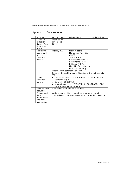<span id="page-38-0"></span>

|  | Appendix I Data sources |
|--|-------------------------|
|--|-------------------------|

|        | Sources                                                         | Woody biomass                                                                                                                                                                                                                  | Oils and fats                                                                                                                                                                               | Carbohydrates |
|--------|-----------------------------------------------------------------|--------------------------------------------------------------------------------------------------------------------------------------------------------------------------------------------------------------------------------|---------------------------------------------------------------------------------------------------------------------------------------------------------------------------------------------|---------------|
| j.     | Own data<br>collection<br>directly from<br>the market<br>actors | Wood pellet<br>buyers (up to<br>2012)                                                                                                                                                                                          |                                                                                                                                                                                             |               |
| ii.    | Monitoring<br>bodies and<br>general<br>statistics<br>portals    | Probos, RVO                                                                                                                                                                                                                    | Product board<br>Margarine, Fats, Oils<br>(MVO)<br>Task Force of<br>Sustainable Palm Oil,<br>Sustainable Trade<br>Initiative (IDH);<br>Liquid biofuels - Dutch<br><b>Emission Authority</b> | ÷             |
|        |                                                                 | Waste - Afval database van RVO:<br>(CBS)                                                                                                                                                                                       | General - Central Bureau of Statistics of the Netherlands                                                                                                                                   |               |
| iii    | Trade<br>statistics<br>portals                                  | The Netherlands - Central Bureau of Statistics of the<br>$\bullet$<br>Netherlands (CBS);<br>EU level - EUROSTAT;<br>$\bullet$<br>International level - FAOSTAT; UN COMTRADE; USDA<br>$\bullet$<br>Foreign Agricultural Service |                                                                                                                                                                                             |               |
| iv     | Mass balance<br>deductions                                      | Derivations from the other sources                                                                                                                                                                                             |                                                                                                                                                                                             |               |
| $\vee$ | Fragmented<br>data,<br>assumptions,<br>and data<br>aggregation  |                                                                                                                                                                                                                                | Various sources like press releases, news, reports by<br>companies or other organizations, and scientific literature                                                                        |               |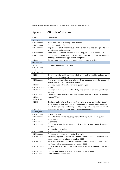#### CN Code Description Woody biomass  $CN$  44xxxxxx Wood and articles of wood; wood charcoal CN 45xxxxxx Cork and articles of cork CN 47xxxxxx Pulp of wood or of other fibrous cellulosic material; recovered (Waste and scrap) paper and paperboard  $\text{CM } 48x$ xxxxx Paper and paperboard; articles of paper pulp, of paper or paperboard CN 49xxxxxx Printed books, newspapers, pictures and other products of the printing industry; manuscripts, type scripts and plans CN 44013020 Sawdust and wood waste and scrap, agglomerated in pellets Oils and fats From CN 1201xxxx until CN 1209xxxx Oil seeds and oleaginous fruits CN 230400 Oil-cake & oth. solid residues, whether or not ground/in pellets, from extraction of soyabean oil CN 15xxxxxx CN 15200000 Animal or vegetable fats and oils and their cleavage products; prepared animal fats; animal or vegetable waxes Glycerol, crude; glycerol waters and glycerol lyes CN 29054500 Glycerol CN 38249055 CN 38249091 CN 38260010 (since 2012) CN 38260090 CN 271020xx Mixtures of mono-, di- and tri-, fatty acid esters of glycerol (emulsifiers for fats) Monoalkyl esters of fatty acids, with an ester content of 96.5%vol or more esters (FAMAE) Biodiesel and mixtures thereof, not containing or containing less than 70 % by weight of petroleum oils or oils obtained from bituminous minerals. Diesel, fuel oil, oils, containing >=70% weight of petroleum oils or oils obtained from bituminous minerals, containing biodiesel **Carbohydrates** CN 10xxxxxx Grains / Cereals CN 11xxxxxx Froducts of the milling industry; malt; starches; inulin; wheat gluten CN 121291xx CN 12129300 CN 1213xxxx Sugar beets Sugar cane pressed or in the form of pellets

# <span id="page-39-0"></span>Appendix II CN code of biomass

|                    | Diesel, Idel off, ons, containing $\geq$ = 70% weight of petroleum ons or ons |
|--------------------|-------------------------------------------------------------------------------|
| CN 271020xx        | obtained from bituminous minerals, containing biodiesel                       |
| Carbohydrates      |                                                                               |
| CN 10xxxxxx        | Grains / Cereals                                                              |
| CN 11XXXXXX        | Products of the milling industry; malt; starches; inulin; wheat gluten        |
| CN 121291xx        | Sugar beets                                                                   |
| CN 12129300        | Sugar cane                                                                    |
| <b>CN 1213xxxx</b> | Cereal straw and husks, unprepared, whether or not chopped, ground,           |
|                    | pressed                                                                       |
|                    | or in the form of pellets                                                     |
| CN 17xxxxxx        | Sugars and sugar confectionery                                                |
| CN 19xxxxxx        | Preparations of cereals, flour, starch or milk                                |
| CN 200410xx        | Potatoes prepared or preserved otherwise than by vinegar or acetic acid,      |
|                    | frozen, other than products of heading 2006:                                  |
| CN 200520xx        | Potatoes prepared or preserved otherwise than by vinegar or acetic acid,      |
|                    | not frozen, other than products of heading 2006                               |
| CN 22071000        | Undenatured ethyl alcohol of an alcoholic strength by volume of 80% vol       |
|                    | or higher                                                                     |
| CN 22072000        | Ethyl alcohol and other spirits, denatured, of any strength                   |
| CN 38249097        | Other chemical compounds                                                      |
|                    |                                                                               |